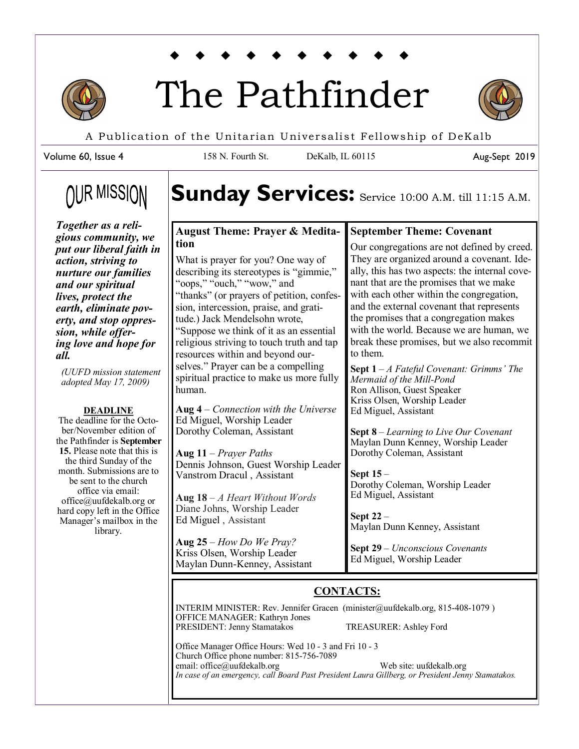

# The Pathfinder



Aug-Sept 2019

A Publication of the Unitarian Universalist Fellowship of DeKalb

158 N. Fourth St. DeKalb, IL 60115

Volume 60, Issue 4

# **OUR MISSION**

*Together as a religious community, we put our liberal faith in action, striving to nurture our families and our spiritual lives, protect the earth, eliminate poverty, and stop oppression, while offering love and hope for all.* 

*(UUFD mission statement adopted May 17, 2009)*

#### **DEADLINE**

The deadline for the October/November edition of the Pathfinder is **September 15.** Please note that this is the third Sunday of the month. Submissions are to be sent to the church office via email: office@uufdekalb.org or hard copy left in the Office Manager's mailbox in the library.

Sunday Services: Service 10:00 A.M. till 11:15 A.M.

# **August Theme: Prayer & Meditation**

What is prayer for you? One way of describing its stereotypes is "gimmie," "oops," "ouch," "wow," and "thanks" (or prayers of petition, confession, intercession, praise, and gratitude.) Jack Mendelsohn wrote, "Suppose we think of it as an essential religious striving to touch truth and tap resources within and beyond ourselves." Prayer can be a compelling spiritual practice to make us more fully human.

**Aug 4** – *Connection with the Universe* Ed Miguel, Worship Leader Dorothy Coleman, Assistant

**Aug 11** – *Prayer Paths* Dennis Johnson, Guest Worship Leader Vanstrom Dracul , Assistant

**Aug 18** – *A Heart Without Words* Diane Johns, Worship Leader Ed Miguel , Assistant

**Aug 25** – *How Do We Pray?* Kriss Olsen, Worship Leader Maylan Dunn-Kenney, Assistant

# **September Theme: Covenant**

Our congregations are not defined by creed. They are organized around a covenant. Ideally, this has two aspects: the internal covenant that are the promises that we make with each other within the congregation, and the external covenant that represents the promises that a congregation makes with the world. Because we are human, we break these promises, but we also recommit to them.

**Sept 1** – *A Fateful Covenant: Grimms' The Mermaid of the Mill-Pond* Ron Allison, Guest Speaker Kriss Olsen, Worship Leader Ed Miguel, Assistant

**Sept 8** – *Learning to Live Our Covenant* Maylan Dunn Kenney, Worship Leader Dorothy Coleman, Assistant

**Sept 15** – Dorothy Coleman, Worship Leader Ed Miguel, Assistant

**Sept 22** – Maylan Dunn Kenney, Assistant

**Sept 29** – *Unconscious Covenants* Ed Miguel, Worship Leader

# **CONTACTS:**

INTERIM MINISTER: Rev. Jennifer Gracen (minister@uufdekalb.org, 815-408-1079 ) OFFICE MANAGER: Kathryn Jones PRESIDENT: Jenny Stamatakos TREASURER: Ashley Ford

Office Manager Office Hours: Wed 10 - 3 and Fri 10 - 3 Church Office phone number: 815-756-7089 email: office@uufdekalb.org Web site: uufdekalb.org *In case of an emergency, call Board Past President Laura Gillberg, or President Jenny Stamatakos.*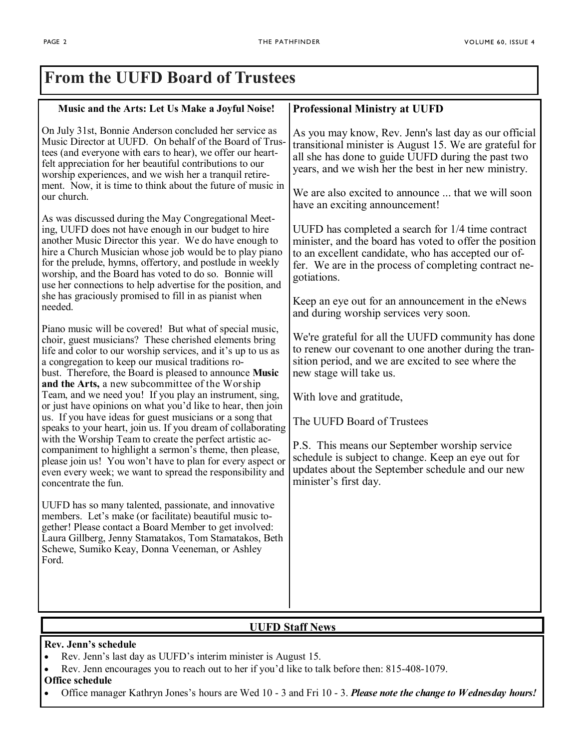٦

| <b>From the UUFD Board of Trustees</b>                                                                                                                                                                                                                                                                                                                                                                                                                                                                                                                                                                                                                                                                                                                                                                                                                                                                                                                                                                                                                                                                                                                                                  |                                                                                                                                                                                                                                                                                                                                                                                                                                            |
|-----------------------------------------------------------------------------------------------------------------------------------------------------------------------------------------------------------------------------------------------------------------------------------------------------------------------------------------------------------------------------------------------------------------------------------------------------------------------------------------------------------------------------------------------------------------------------------------------------------------------------------------------------------------------------------------------------------------------------------------------------------------------------------------------------------------------------------------------------------------------------------------------------------------------------------------------------------------------------------------------------------------------------------------------------------------------------------------------------------------------------------------------------------------------------------------|--------------------------------------------------------------------------------------------------------------------------------------------------------------------------------------------------------------------------------------------------------------------------------------------------------------------------------------------------------------------------------------------------------------------------------------------|
| Music and the Arts: Let Us Make a Joyful Noise!                                                                                                                                                                                                                                                                                                                                                                                                                                                                                                                                                                                                                                                                                                                                                                                                                                                                                                                                                                                                                                                                                                                                         | <b>Professional Ministry at UUFD</b>                                                                                                                                                                                                                                                                                                                                                                                                       |
| On July 31st, Bonnie Anderson concluded her service as<br>Music Director at UUFD. On behalf of the Board of Trus-<br>tees (and everyone with ears to hear), we offer our heart-<br>felt appreciation for her beautiful contributions to our<br>worship experiences, and we wish her a tranquil retire-<br>ment. Now, it is time to think about the future of music in<br>our church.                                                                                                                                                                                                                                                                                                                                                                                                                                                                                                                                                                                                                                                                                                                                                                                                    | As you may know, Rev. Jenn's last day as our official<br>transitional minister is August 15. We are grateful for<br>all she has done to guide UUFD during the past two<br>years, and we wish her the best in her new ministry.<br>We are also excited to announce  that we will soon<br>have an exciting announcement!                                                                                                                     |
| As was discussed during the May Congregational Meet-<br>ing, UUFD does not have enough in our budget to hire<br>another Music Director this year. We do have enough to<br>hire a Church Musician whose job would be to play piano<br>for the prelude, hymns, offertory, and postlude in weekly<br>worship, and the Board has voted to do so. Bonnie will<br>use her connections to help advertise for the position, and<br>she has graciously promised to fill in as pianist when<br>needed.                                                                                                                                                                                                                                                                                                                                                                                                                                                                                                                                                                                                                                                                                            | UUFD has completed a search for 1/4 time contract<br>minister, and the board has voted to offer the position<br>to an excellent candidate, who has accepted our of-<br>fer. We are in the process of completing contract ne-<br>gotiations.<br>Keep an eye out for an announcement in the eNews<br>and during worship services very soon.                                                                                                  |
| Piano music will be covered! But what of special music,<br>choir, guest musicians? These cherished elements bring<br>life and color to our worship services, and it's up to us as<br>a congregation to keep our musical traditions ro-<br>bust. Therefore, the Board is pleased to announce Music<br>and the Arts, a new subcommittee of the Worship<br>Team, and we need you! If you play an instrument, sing,<br>or just have opinions on what you'd like to hear, then join<br>us. If you have ideas for guest musicians or a song that<br>speaks to your heart, join us. If you dream of collaborating<br>with the Worship Team to create the perfect artistic ac-<br>companiment to highlight a sermon's theme, then please,<br>please join us! You won't have to plan for every aspect or<br>even every week; we want to spread the responsibility and<br>concentrate the fun.<br>UUFD has so many talented, passionate, and innovative<br>members. Let's make (or facilitate) beautiful music to-<br>gether! Please contact a Board Member to get involved:<br>Laura Gillberg, Jenny Stamatakos, Tom Stamatakos, Beth<br>Schewe, Sumiko Keay, Donna Veeneman, or Ashley<br>Ford. | We're grateful for all the UUFD community has done<br>to renew our covenant to one another during the tran-<br>sition period, and we are excited to see where the<br>new stage will take us.<br>With love and gratitude,<br>The UUFD Board of Trustees<br>P.S. This means our September worship service<br>schedule is subject to change. Keep an eye out for<br>updates about the September schedule and our new<br>minister's first day. |

### **UUFD Staff News**

**Rev. Jenn's schedule**

- Rev. Jenn's last day as UUFD's interim minister is August 15.
- Rev. Jenn encourages you to reach out to her if you'd like to talk before then: 815-408-1079.

#### **Office schedule**

Office manager Kathryn Jones's hours are Wed 10 - 3 and Fri 10 - 3. *Please note the change to Wednesday hours!*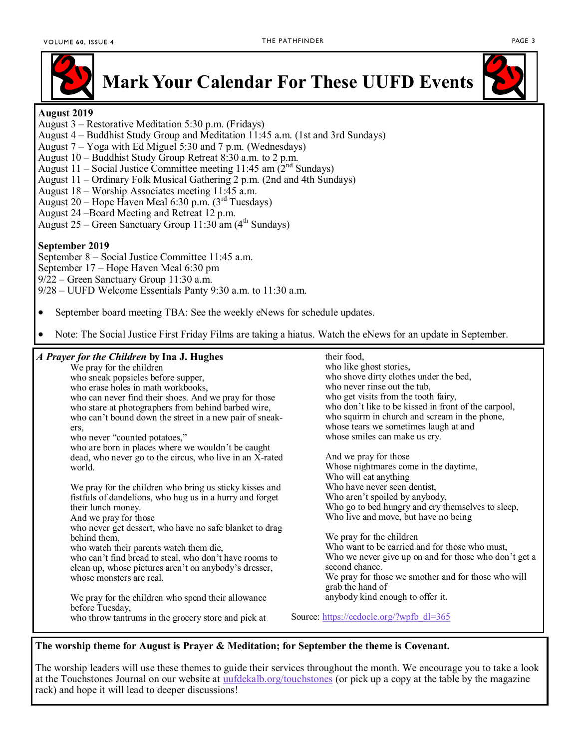

# **Mark Your Calendar For These UUFD Events**

#### **August 2019**

- August 3 Restorative Meditation 5:30 p.m. (Fridays)
- August 4 Buddhist Study Group and Meditation 11:45 a.m. (1st and 3rd Sundays)
- August 7 Yoga with Ed Miguel 5:30 and 7 p.m. (Wednesdays)
- August 10 Buddhist Study Group Retreat 8:30 a.m. to 2 p.m.
- August 11 Social Justice Committee meeting 11:45 am  $(2^{nd}$  Sundays)
- August 11 Ordinary Folk Musical Gathering 2 p.m. (2nd and 4th Sundays)
- August 18 Worship Associates meeting 11:45 a.m.
- August 20 Hope Haven Meal 6:30 p.m.  $(3<sup>rd</sup> Tuesdays)$
- August 24 –Board Meeting and Retreat 12 p.m.
- August 25 Green Sanctuary Group  $11:30$  am (4<sup>th</sup> Sundays)

#### **September 2019**

September 8 – Social Justice Committee 11:45 a.m. September 17 – Hope Haven Meal 6:30 pm 9/22 – Green Sanctuary Group 11:30 a.m. 9/28 – UUFD Welcome Essentials Panty 9:30 a.m. to 11:30 a.m.

- September board meeting TBA: See the weekly eNews for schedule updates.
- Note: The Social Justice First Friday Films are taking a hiatus. Watch the eNews for an update in September.

#### *A Prayer for the Children* **by Ina J. Hughes**

We pray for the children who sneak popsicles before supper, who erase holes in math workbooks, who can never find their shoes. And we pray for those who stare at photographers from behind barbed wire, who can't bound down the street in a new pair of sneakers, who never "counted potatoes," who are born in places where we wouldn't be caught dead, who never go to the circus, who live in an X-rated world. We pray for the children who bring us sticky kisses and fistfuls of dandelions, who hug us in a hurry and forget their lunch money. And we pray for those

who never get dessert, who have no safe blanket to drag behind them,

who watch their parents watch them die,

who can't find bread to steal, who don't have rooms to clean up, whose pictures aren't on anybody's dresser, whose monsters are real.

We pray for the children who spend their allowance before Tuesday, who throw tantrums in the grocery store and pick at

their food, who like ghost stories, who shove dirty clothes under the bed, who never rinse out the tub, who get visits from the tooth fairy, who don't like to be kissed in front of the carpool, who squirm in church and scream in the phone, whose tears we sometimes laugh at and whose smiles can make us cry.

And we pray for those Whose nightmares come in the daytime, Who will eat anything Who have never seen dentist, Who aren't spoiled by anybody, Who go to bed hungry and cry themselves to sleep, Who live and move, but have no being

We pray for the children Who want to be carried and for those who must, Who we never give up on and for those who don't get a second chance. We pray for those we smother and for those who will grab the hand of anybody kind enough to offer it.

Source: [https://ccdocle.org/?wpfb\\_dl=365](https://ccdocle.org/?wpfb_dl=365)

#### **The worship theme for August is Prayer & Meditation; for September the theme is Covenant.**

The worship leaders will use these themes to guide their services throughout the month. We encourage you to take a look at the Touchstones Journal on our website at <uufdekalb.org/touchstones> (or pick up a copy at the table by the magazine rack) and hope it will lead to deeper discussions!

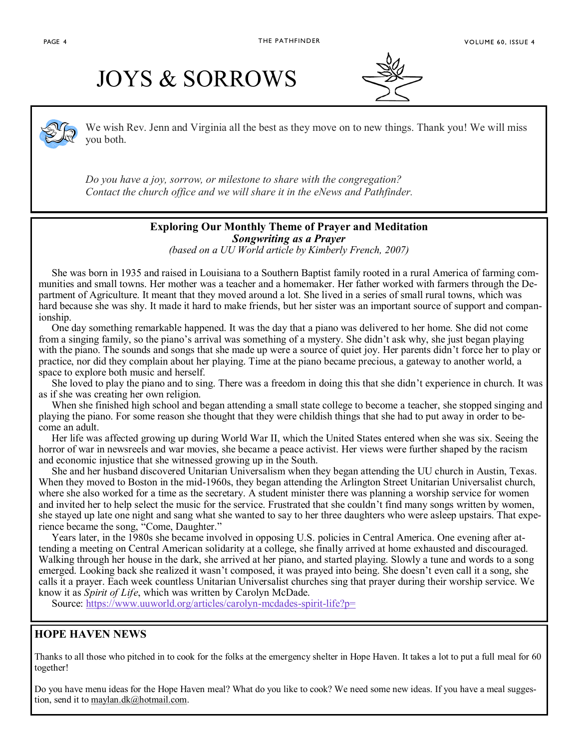# JOYS & SORROWS



We wish Rev. Jenn and Virginia all the best as they move on to new things. Thank you! We will miss you both.

*Do you have a joy, sorrow, or milestone to share with the congregation? Contact the church office and we will share it in the eNews and Pathfinder.*

#### **Exploring Our Monthly Theme of Prayer and Meditation** *Songwriting as a Prayer*

*(based on a UU World article by Kimberly French, 2007)*

 She was born in 1935 and raised in Louisiana to a Southern Baptist family rooted in a rural America of farming communities and small towns. Her mother was a teacher and a homemaker. Her father worked with farmers through the Department of Agriculture. It meant that they moved around a lot. She lived in a series of small rural towns, which was hard because she was shy. It made it hard to make friends, but her sister was an important source of support and companionship.

 One day something remarkable happened. It was the day that a piano was delivered to her home. She did not come from a singing family, so the piano's arrival was something of a mystery. She didn't ask why, she just began playing with the piano. The sounds and songs that she made up were a source of quiet joy. Her parents didn't force her to play or practice, nor did they complain about her playing. Time at the piano became precious, a gateway to another world, a space to explore both music and herself.

 She loved to play the piano and to sing. There was a freedom in doing this that she didn't experience in church. It was as if she was creating her own religion.

 When she finished high school and began attending a small state college to become a teacher, she stopped singing and playing the piano. For some reason she thought that they were childish things that she had to put away in order to become an adult.

 Her life was affected growing up during World War II, which the United States entered when she was six. Seeing the horror of war in newsreels and war movies, she became a peace activist. Her views were further shaped by the racism and economic injustice that she witnessed growing up in the South.

 She and her husband discovered Unitarian Universalism when they began attending the UU church in Austin, Texas. When they moved to Boston in the mid-1960s, they began attending the Arlington Street Unitarian Universalist church, where she also worked for a time as the secretary. A student minister there was planning a worship service for women and invited her to help select the music for the service. Frustrated that she couldn't find many songs written by women, she stayed up late one night and sang what she wanted to say to her three daughters who were asleep upstairs. That experience became the song, "Come, Daughter."

 Years later, in the 1980s she became involved in opposing U.S. policies in Central America. One evening after attending a meeting on Central American solidarity at a college, she finally arrived at home exhausted and discouraged. Walking through her house in the dark, she arrived at her piano, and started playing. Slowly a tune and words to a song emerged. Looking back she realized it wasn't composed, it was prayed into being. She doesn't even call it a song, she calls it a prayer. Each week countless Unitarian Universalist churches sing that prayer during their worship service. We know it as *Spirit of Life*, which was written by Carolyn McDade.

Source: [https://www.uuworld.org/articles/carolyn](https://www.uuworld.org/articles/carolyn-mcdades-spirit-life?p=)-mcdades-spirit-life?p=

#### **HOPE HAVEN NEWS**

Thanks to all those who pitched in to cook for the folks at the emergency shelter in Hope Haven. It takes a lot to put a full meal for 60 together!

Do you have menu ideas for the Hope Haven meal? What do you like to cook? We need some new ideas. If you have a meal suggestion, send it to [maylan.dk@hotmail.com.](mailto:maylan.dk@hotmail.com)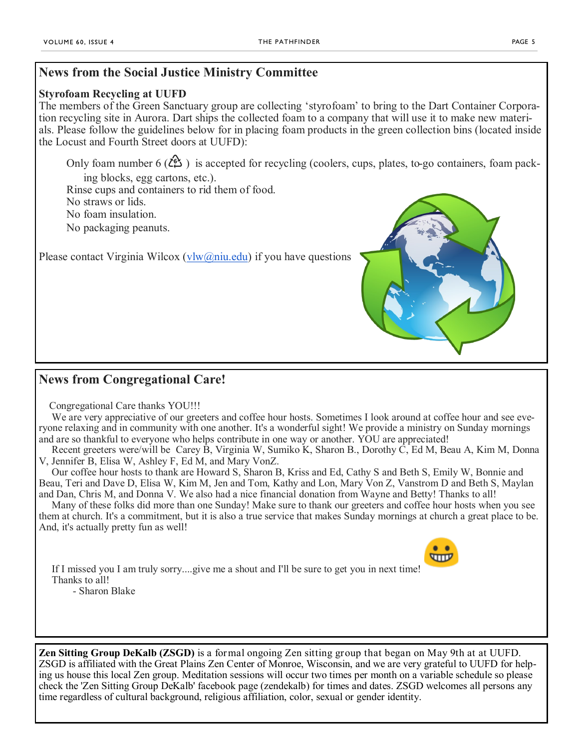### **News from the Social Justice Ministry Committee**

#### **Styrofoam Recycling at UUFD**

The members of the Green Sanctuary group are collecting 'styrofoam' to bring to the Dart Container Corporation recycling site in Aurora. Dart ships the collected foam to a company that will use it to make new materials. Please follow the guidelines below for in placing foam products in the green collection bins (located inside the Locust and Fourth Street doors at UUFD):

Only foam number 6 ( $\angle 2$ ) is accepted for recycling (coolers, cups, plates, to-go containers, foam packing blocks, egg cartons, etc.).

Rinse cups and containers to rid them of food.

No straws or lids.

No foam insulation.

No packaging peanuts.

Please contact Virginia Wilcox ([vlw@niu.edu\)](mailto:vlw@niu.edu) if you have questions

## **News from Congregational Care!**

Congregational Care thanks YOU!!!

We are very appreciative of our greeters and coffee hour hosts. Sometimes I look around at coffee hour and see everyone relaxing and in community with one another. It's a wonderful sight! We provide a ministry on Sunday mornings and are so thankful to everyone who helps contribute in one way or another. YOU are appreciated!

Recent greeters were/will be Carey B, Virginia W, Sumiko K, Sharon B., Dorothy C, Ed M, Beau A, Kim M, Donna V, Jennifer B, Elisa W, Ashley F, Ed M, and Mary VonZ.

Our coffee hour hosts to thank are Howard S, Sharon B, Kriss and Ed, Cathy S and Beth S, Emily W, Bonnie and Beau, Teri and Dave D, Elisa W, Kim M, Jen and Tom, Kathy and Lon, Mary Von Z, Vanstrom D and Beth S, Maylan and Dan, Chris M, and Donna V. We also had a nice financial donation from Wayne and Betty! Thanks to all!

Many of these folks did more than one Sunday! Make sure to thank our greeters and coffee hour hosts when you see them at church. It's a commitment, but it is also a true service that makes Sunday mornings at church a great place to be. And, it's actually pretty fun as well!

If I missed you I am truly sorry....give me a shout and I'll be sure to get you in next time! Thanks to all! - Sharon Blake

**Zen Sitting Group DeKalb (ZSGD)** is a formal ongoing Zen sitting group that began on May 9th at at UUFD. ZSGD is affiliated with the Great Plains Zen Center of Monroe, Wisconsin, and we are very grateful to UUFD for helping us house this local Zen group. Meditation sessions will occur two times per month on a variable schedule so please check the 'Zen Sitting Group DeKalb' facebook page (zendekalb) for times and dates. ZSGD welcomes all persons any time regardless of cultural background, religious affiliation, color, sexual or gender identity.